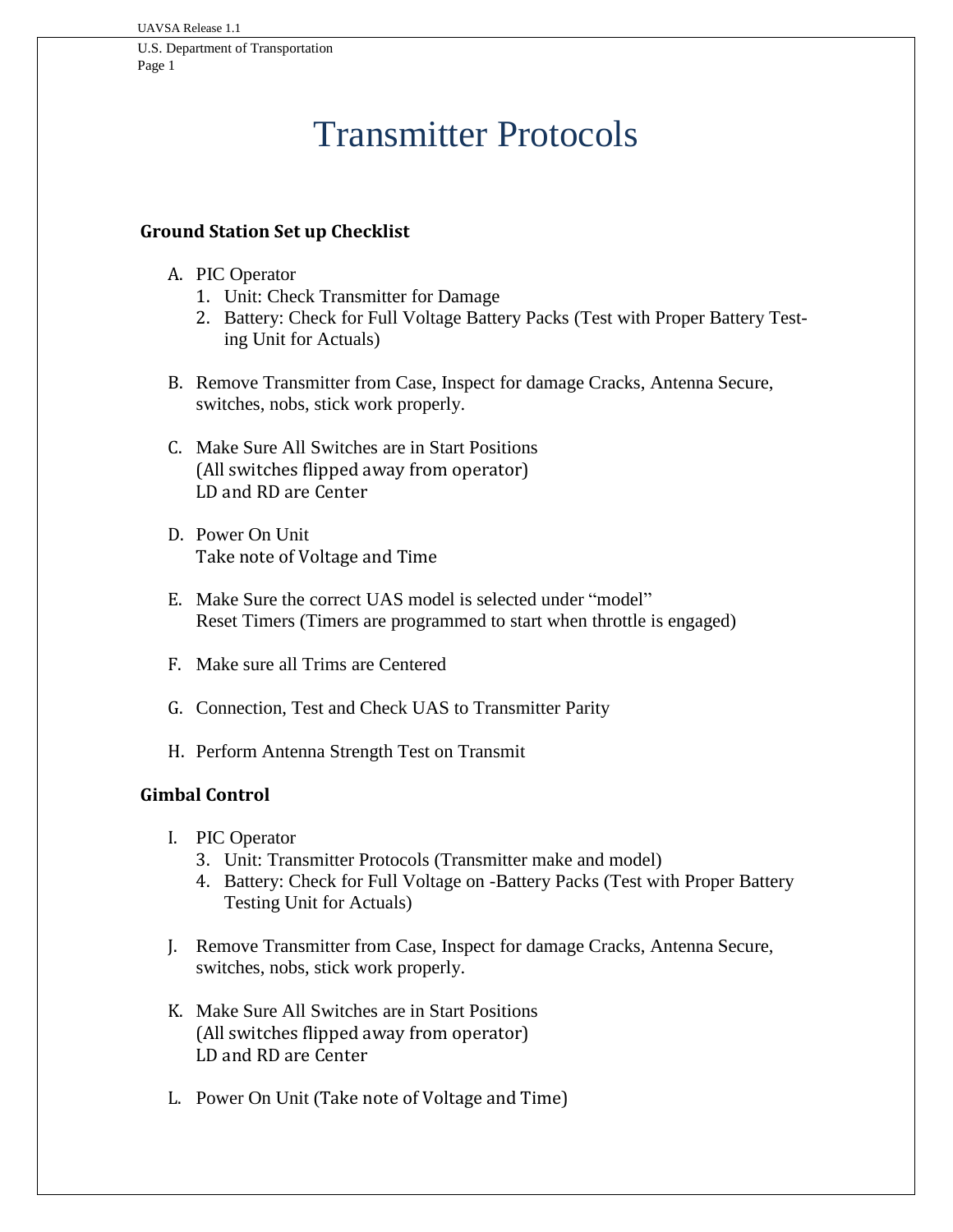## Transmitter Protocols

## **Ground Station Set up Checklist**

- A. PIC Operator
	- 1. Unit: Check Transmitter for Damage
	- 2. Battery: Check for Full Voltage Battery Packs (Test with Proper Battery Testing Unit for Actuals)
- B. Remove Transmitter from Case, Inspect for damage Cracks, Antenna Secure, switches, nobs, stick work properly.
- C. Make Sure All Switches are in Start Positions (All switches flipped away from operator) LD and RD are Center
- D. Power On Unit Take note of Voltage and Time
- E. Make Sure the correct UAS model is selected under "model" Reset Timers (Timers are programmed to start when throttle is engaged)
- F. Make sure all Trims are Centered
- G. Connection, Test and Check UAS to Transmitter Parity
- H. Perform Antenna Strength Test on Transmit

## **Gimbal Control**

- I. PIC Operator
	- 3. Unit: Transmitter Protocols (Transmitter make and model)
	- 4. Battery: Check for Full Voltage on -Battery Packs (Test with Proper Battery Testing Unit for Actuals)
- J. Remove Transmitter from Case, Inspect for damage Cracks, Antenna Secure, switches, nobs, stick work properly.
- K. Make Sure All Switches are in Start Positions (All switches flipped away from operator) LD and RD are Center
- L. Power On Unit (Take note of Voltage and Time)